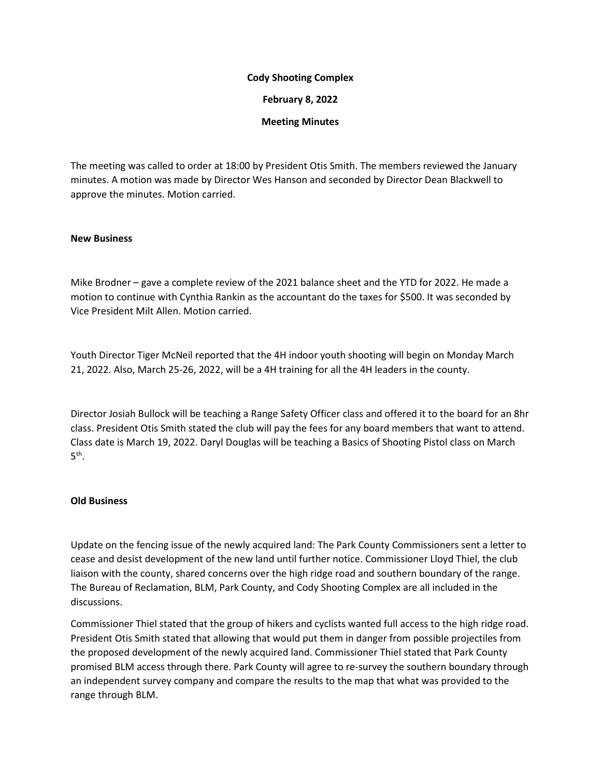## **Cody Shooting Complex**

**February 8, 2022**

**Meeting Minutes**

The meeting was called to order at 18:00 by President Otis Smith. The members reviewed the January minutes. A motion was made by Director Wes Hanson and seconded by Director Dean Blackwell to approve the minutes. Motion carried.

## **New Business**

Mike Brodner – gave a complete review of the 2021 balance sheet and the YTD for 2022. He made a motion to continue with Cynthia Rankin as the accountant do the taxes for \$500. It was seconded by Vice President Milt Allen. Motion carried.

Youth Director Tiger McNeil reported that the 4H indoor youth shooting will begin on Monday March 21, 2022. Also, March 25-26, 2022, will be a 4H training for all the 4H leaders in the county.

Director Josiah Bullock will be teaching a Range Safety Officer class and offered it to the board for an 8hr class. President Otis Smith stated the club will pay the fees for any board members that want to attend. Class date is March 19, 2022. Daryl Douglas will be teaching a Basics of Shooting Pistol class on March  $5<sup>th</sup>$ .

## **Old Business**

Update on the fencing issue of the newly acquired land: The Park County Commissioners sent a letter to cease and desist development of the new land until further notice. Commissioner Lloyd Thiel, the club liaison with the county, shared concerns over the high ridge road and southern boundary of the range. The Bureau of Reclamation, BLM, Park County, and Cody Shooting Complex are all included in the discussions.

Commissioner Thiel stated that the group of hikers and cyclists wanted full access to the high ridge road. President Otis Smith stated that allowing that would put them in danger from possible projectiles from the proposed development of the newly acquired land. Commissioner Thiel stated that Park County promised BLM access through there. Park County will agree to re-survey the southern boundary through an independent survey company and compare the results to the map that what was provided to the range through BLM.